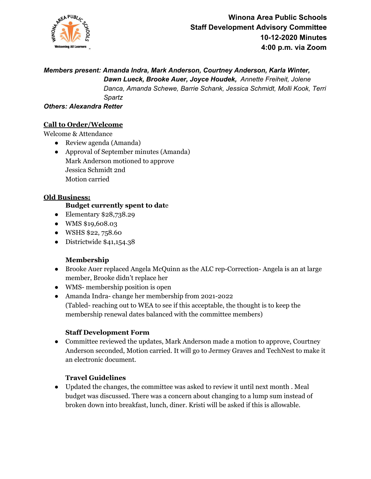

*Members present: Amanda Indra, Mark Anderson, Courtney Anderson, Karla Winter,*

*Dawn Lueck, Brooke Auer, Joyce Houdek, Annette Freiheit, Jolene Danca, Amanda Schewe, Barrie Schank, Jessica Schmidt, Molli Kook, Terri Spartz*

*Others: Alexandra Retter*

# **Call to Order/Welcome**

Welcome & Attendance

- Review agenda (Amanda)
- Approval of September minutes (Amanda) Mark Anderson motioned to approve Jessica Schmidt 2nd Motion carried

### **Old Business:**

### **Budget currently spent to dat**e

- Elementary \$28,738.29
- WMS \$19,608.03
- WSHS \$22, 758.60
- Districtwide \$41,154.38

## **Membership**

- Brooke Auer replaced Angela McQuinn as the ALC rep-Correction- Angela is an at large member, Brooke didn't replace her
- WMS- membership position is open
- Amanda Indra- change her membership from 2021-2022 (Tabled- reaching out to WEA to see if this acceptable, the thought is to keep the membership renewal dates balanced with the committee members)

## **Staff Development Form**

● Committee reviewed the updates, Mark Anderson made a motion to approve, Courtney Anderson seconded, Motion carried. It will go to Jermey Graves and TechNest to make it an electronic document.

## **Travel Guidelines**

● Updated the changes, the committee was asked to review it until next month . Meal budget was discussed. There was a concern about changing to a lump sum instead of broken down into breakfast, lunch, diner. Kristi will be asked if this is allowable.